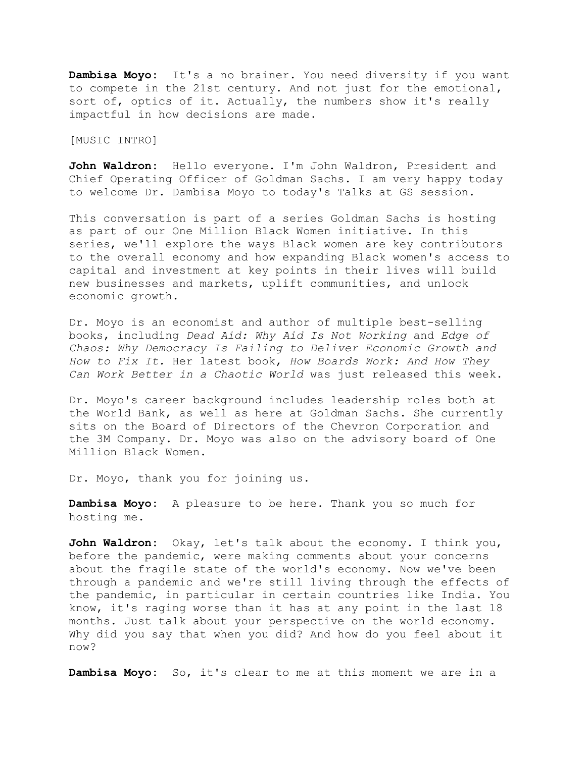**Dambisa Moyo:** It's a no brainer. You need diversity if you want to compete in the 21st century. And not just for the emotional, sort of, optics of it. Actually, the numbers show it's really impactful in how decisions are made.

[MUSIC INTRO]

**John Waldron:** Hello everyone. I'm John Waldron, President and Chief Operating Officer of Goldman Sachs. I am very happy today to welcome Dr. Dambisa Moyo to today's Talks at GS session.

This conversation is part of a series Goldman Sachs is hosting as part of our One Million Black Women initiative. In this series, we'll explore the ways Black women are key contributors to the overall economy and how expanding Black women's access to capital and investment at key points in their lives will build new businesses and markets, uplift communities, and unlock economic growth.

Dr. Moyo is an economist and author of multiple best-selling books, including *Dead Aid: Why Aid Is Not Working* and *Edge of Chaos: Why Democracy Is Failing to Deliver Economic Growth and How to Fix It.* Her latest book, *How Boards Work: And How They Can Work Better in a Chaotic World* was just released this week.

Dr. Moyo's career background includes leadership roles both at the World Bank, as well as here at Goldman Sachs. She currently sits on the Board of Directors of the Chevron Corporation and the 3M Company. Dr. Moyo was also on the advisory board of One Million Black Women.

Dr. Moyo, thank you for joining us.

**Dambisa Moyo:** A pleasure to be here. Thank you so much for hosting me.

**John Waldron:** Okay, let's talk about the economy. I think you, before the pandemic, were making comments about your concerns about the fragile state of the world's economy. Now we've been through a pandemic and we're still living through the effects of the pandemic, in particular in certain countries like India. You know, it's raging worse than it has at any point in the last 18 months. Just talk about your perspective on the world economy. Why did you say that when you did? And how do you feel about it now?

**Dambisa Moyo:** So, it's clear to me at this moment we are in a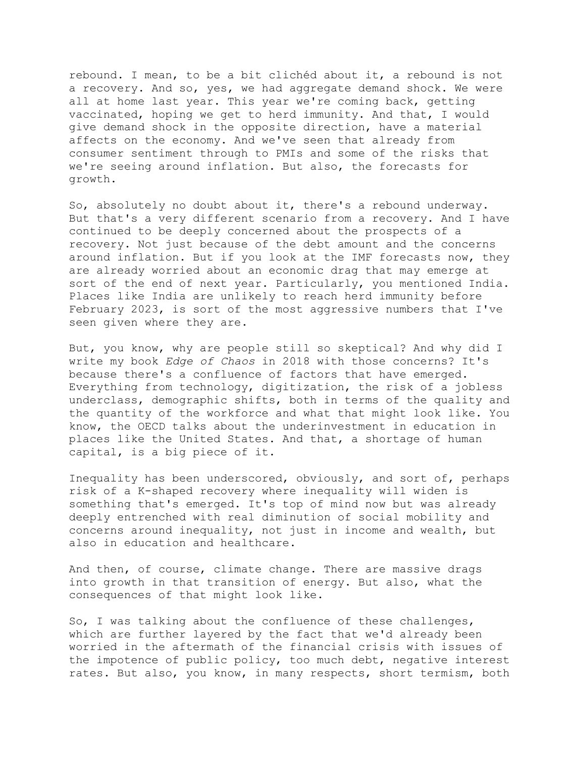rebound. I mean, to be a bit clichéd about it, a rebound is not a recovery. And so, yes, we had aggregate demand shock. We were all at home last year. This year we're coming back, getting vaccinated, hoping we get to herd immunity. And that, I would give demand shock in the opposite direction, have a material affects on the economy. And we've seen that already from consumer sentiment through to PMIs and some of the risks that we're seeing around inflation. But also, the forecasts for growth.

So, absolutely no doubt about it, there's a rebound underway. But that's a very different scenario from a recovery. And I have continued to be deeply concerned about the prospects of a recovery. Not just because of the debt amount and the concerns around inflation. But if you look at the IMF forecasts now, they are already worried about an economic drag that may emerge at sort of the end of next year. Particularly, you mentioned India. Places like India are unlikely to reach herd immunity before February 2023, is sort of the most aggressive numbers that I've seen given where they are.

But, you know, why are people still so skeptical? And why did I write my book *Edge of Chaos* in 2018 with those concerns? It's because there's a confluence of factors that have emerged. Everything from technology, digitization, the risk of a jobless underclass, demographic shifts, both in terms of the quality and the quantity of the workforce and what that might look like. You know, the OECD talks about the underinvestment in education in places like the United States. And that, a shortage of human capital, is a big piece of it.

Inequality has been underscored, obviously, and sort of, perhaps risk of a K-shaped recovery where inequality will widen is something that's emerged. It's top of mind now but was already deeply entrenched with real diminution of social mobility and concerns around inequality, not just in income and wealth, but also in education and healthcare.

And then, of course, climate change. There are massive drags into growth in that transition of energy. But also, what the consequences of that might look like.

So, I was talking about the confluence of these challenges, which are further layered by the fact that we'd already been worried in the aftermath of the financial crisis with issues of the impotence of public policy, too much debt, negative interest rates. But also, you know, in many respects, short termism, both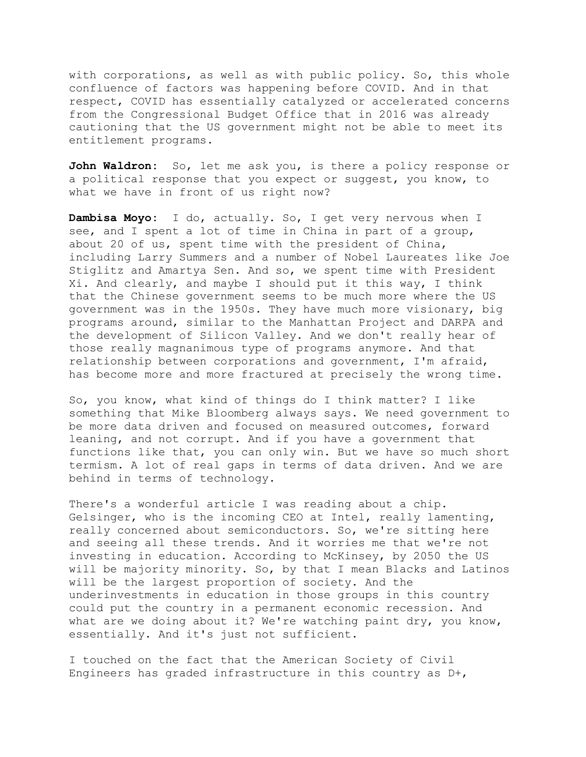with corporations, as well as with public policy. So, this whole confluence of factors was happening before COVID. And in that respect, COVID has essentially catalyzed or accelerated concerns from the Congressional Budget Office that in 2016 was already cautioning that the US government might not be able to meet its entitlement programs.

**John Waldron:** So, let me ask you, is there a policy response or a political response that you expect or suggest, you know, to what we have in front of us right now?

**Dambisa Moyo:** I do, actually. So, I get very nervous when I see, and I spent a lot of time in China in part of a group, about 20 of us, spent time with the president of China, including Larry Summers and a number of Nobel Laureates like Joe Stiglitz and Amartya Sen. And so, we spent time with President Xi. And clearly, and maybe I should put it this way, I think that the Chinese government seems to be much more where the US government was in the 1950s. They have much more visionary, big programs around, similar to the Manhattan Project and DARPA and the development of Silicon Valley. And we don't really hear of those really magnanimous type of programs anymore. And that relationship between corporations and government, I'm afraid, has become more and more fractured at precisely the wrong time.

So, you know, what kind of things do I think matter? I like something that Mike Bloomberg always says. We need government to be more data driven and focused on measured outcomes, forward leaning, and not corrupt. And if you have a government that functions like that, you can only win. But we have so much short termism. A lot of real gaps in terms of data driven. And we are behind in terms of technology.

There's a wonderful article I was reading about a chip. Gelsinger, who is the incoming CEO at Intel, really lamenting, really concerned about semiconductors. So, we're sitting here and seeing all these trends. And it worries me that we're not investing in education. According to McKinsey, by 2050 the US will be majority minority. So, by that I mean Blacks and Latinos will be the largest proportion of society. And the underinvestments in education in those groups in this country could put the country in a permanent economic recession. And what are we doing about it? We're watching paint dry, you know, essentially. And it's just not sufficient.

I touched on the fact that the American Society of Civil Engineers has graded infrastructure in this country as D+,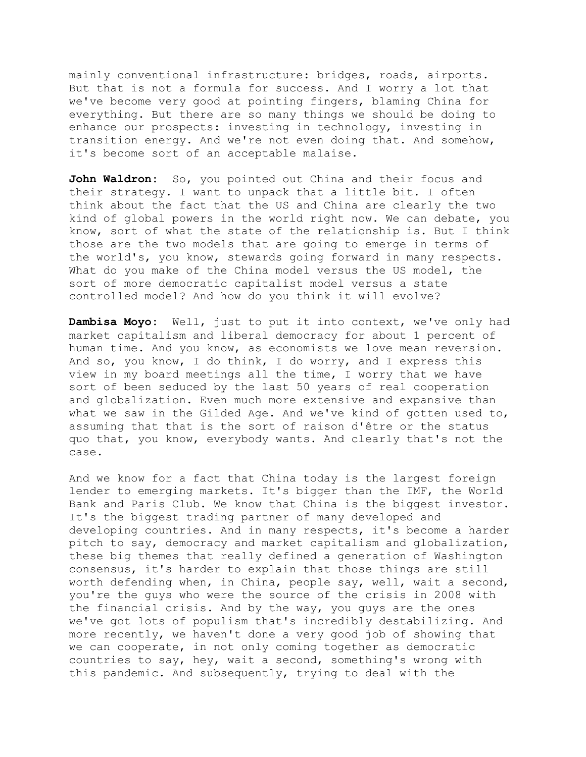mainly conventional infrastructure: bridges, roads, airports. But that is not a formula for success. And I worry a lot that we've become very good at pointing fingers, blaming China for everything. But there are so many things we should be doing to enhance our prospects: investing in technology, investing in transition energy. And we're not even doing that. And somehow, it's become sort of an acceptable malaise.

John Waldron: So, you pointed out China and their focus and their strategy. I want to unpack that a little bit. I often think about the fact that the US and China are clearly the two kind of global powers in the world right now. We can debate, you know, sort of what the state of the relationship is. But I think those are the two models that are going to emerge in terms of the world's, you know, stewards going forward in many respects. What do you make of the China model versus the US model, the sort of more democratic capitalist model versus a state controlled model? And how do you think it will evolve?

**Dambisa Moyo:** Well, just to put it into context, we've only had market capitalism and liberal democracy for about 1 percent of human time. And you know, as economists we love mean reversion. And so, you know, I do think, I do worry, and I express this view in my board meetings all the time, I worry that we have sort of been seduced by the last 50 years of real cooperation and globalization. Even much more extensive and expansive than what we saw in the Gilded Age. And we've kind of gotten used to, assuming that that is the sort of raison d'être or the status quo that, you know, everybody wants. And clearly that's not the case.

And we know for a fact that China today is the largest foreign lender to emerging markets. It's bigger than the IMF, the World Bank and Paris Club. We know that China is the biggest investor. It's the biggest trading partner of many developed and developing countries. And in many respects, it's become a harder pitch to say, democracy and market capitalism and globalization, these big themes that really defined a generation of Washington consensus, it's harder to explain that those things are still worth defending when, in China, people say, well, wait a second, you're the guys who were the source of the crisis in 2008 with the financial crisis. And by the way, you guys are the ones we've got lots of populism that's incredibly destabilizing. And more recently, we haven't done a very good job of showing that we can cooperate, in not only coming together as democratic countries to say, hey, wait a second, something's wrong with this pandemic. And subsequently, trying to deal with the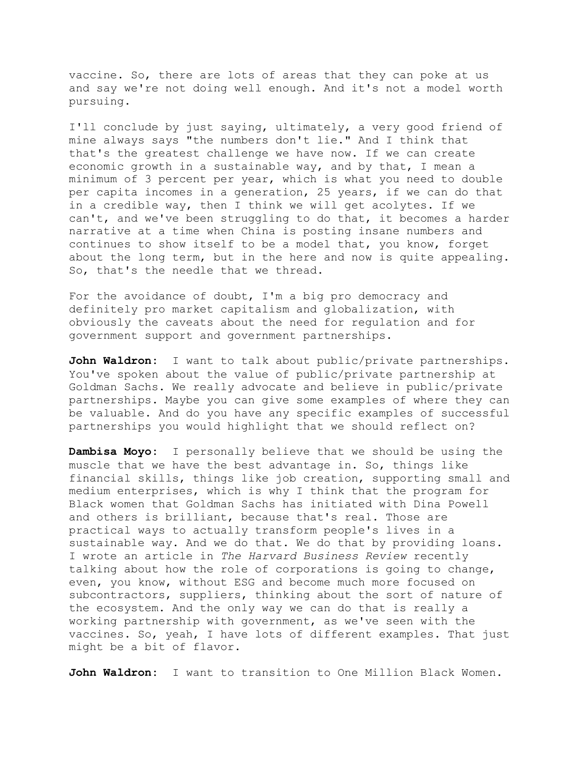vaccine. So, there are lots of areas that they can poke at us and say we're not doing well enough. And it's not a model worth pursuing.

I'll conclude by just saying, ultimately, a very good friend of mine always says "the numbers don't lie." And I think that that's the greatest challenge we have now. If we can create economic growth in a sustainable way, and by that, I mean a minimum of 3 percent per year, which is what you need to double per capita incomes in a generation, 25 years, if we can do that in a credible way, then I think we will get acolytes. If we can't, and we've been struggling to do that, it becomes a harder narrative at a time when China is posting insane numbers and continues to show itself to be a model that, you know, forget about the long term, but in the here and now is quite appealing. So, that's the needle that we thread.

For the avoidance of doubt, I'm a big pro democracy and definitely pro market capitalism and globalization, with obviously the caveats about the need for regulation and for government support and government partnerships.

**John Waldron:** I want to talk about public/private partnerships. You've spoken about the value of public/private partnership at Goldman Sachs. We really advocate and believe in public/private partnerships. Maybe you can give some examples of where they can be valuable. And do you have any specific examples of successful partnerships you would highlight that we should reflect on?

**Dambisa Moyo:** I personally believe that we should be using the muscle that we have the best advantage in. So, things like financial skills, things like job creation, supporting small and medium enterprises, which is why I think that the program for Black women that Goldman Sachs has initiated with Dina Powell and others is brilliant, because that's real. Those are practical ways to actually transform people's lives in a sustainable way. And we do that. We do that by providing loans. I wrote an article in *The Harvard Business Review* recently talking about how the role of corporations is going to change, even, you know, without ESG and become much more focused on subcontractors, suppliers, thinking about the sort of nature of the ecosystem. And the only way we can do that is really a working partnership with government, as we've seen with the vaccines. So, yeah, I have lots of different examples. That just might be a bit of flavor.

**John Waldron:** I want to transition to One Million Black Women.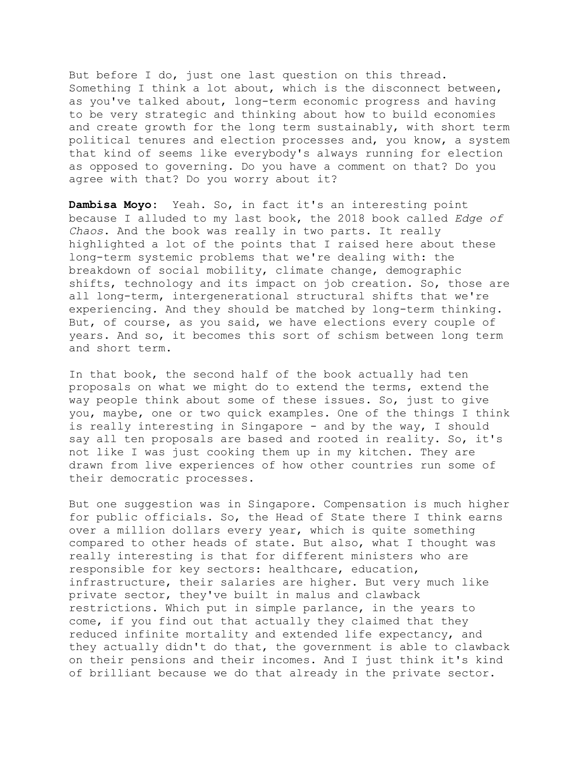But before I do, just one last question on this thread. Something I think a lot about, which is the disconnect between, as you've talked about, long-term economic progress and having to be very strategic and thinking about how to build economies and create growth for the long term sustainably, with short term political tenures and election processes and, you know, a system that kind of seems like everybody's always running for election as opposed to governing. Do you have a comment on that? Do you agree with that? Do you worry about it?

**Dambisa Moyo:** Yeah. So, in fact it's an interesting point because I alluded to my last book, the 2018 book called *Edge of Chaos*. And the book was really in two parts. It really highlighted a lot of the points that I raised here about these long-term systemic problems that we're dealing with: the breakdown of social mobility, climate change, demographic shifts, technology and its impact on job creation. So, those are all long-term, intergenerational structural shifts that we're experiencing. And they should be matched by long-term thinking. But, of course, as you said, we have elections every couple of years. And so, it becomes this sort of schism between long term and short term.

In that book, the second half of the book actually had ten proposals on what we might do to extend the terms, extend the way people think about some of these issues. So, just to give you, maybe, one or two quick examples. One of the things I think is really interesting in Singapore - and by the way, I should say all ten proposals are based and rooted in reality. So, it's not like I was just cooking them up in my kitchen. They are drawn from live experiences of how other countries run some of their democratic processes.

But one suggestion was in Singapore. Compensation is much higher for public officials. So, the Head of State there I think earns over a million dollars every year, which is quite something compared to other heads of state. But also, what I thought was really interesting is that for different ministers who are responsible for key sectors: healthcare, education, infrastructure, their salaries are higher. But very much like private sector, they've built in malus and clawback restrictions. Which put in simple parlance, in the years to come, if you find out that actually they claimed that they reduced infinite mortality and extended life expectancy, and they actually didn't do that, the government is able to clawback on their pensions and their incomes. And I just think it's kind of brilliant because we do that already in the private sector.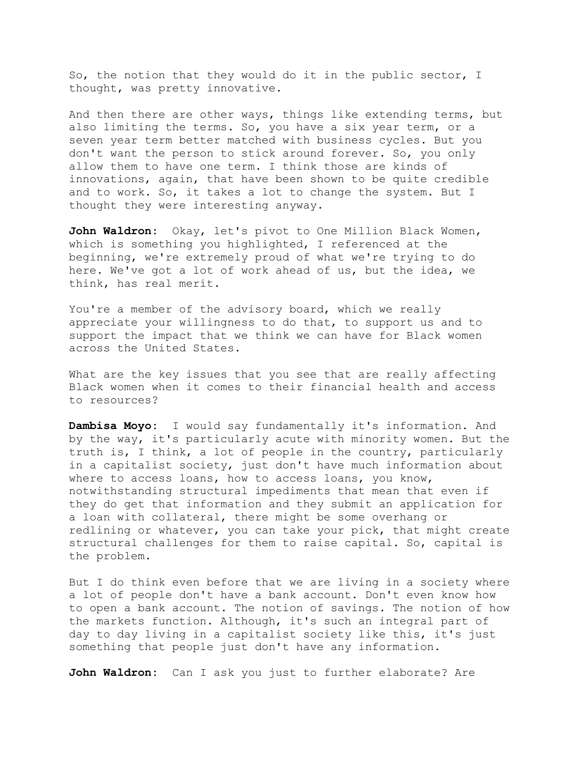So, the notion that they would do it in the public sector, I thought, was pretty innovative.

And then there are other ways, things like extending terms, but also limiting the terms. So, you have a six year term, or a seven year term better matched with business cycles. But you don't want the person to stick around forever. So, you only allow them to have one term. I think those are kinds of innovations, again, that have been shown to be quite credible and to work. So, it takes a lot to change the system. But I thought they were interesting anyway.

John Waldron: Okay, let's pivot to One Million Black Women, which is something you highlighted, I referenced at the beginning, we're extremely proud of what we're trying to do here. We've got a lot of work ahead of us, but the idea, we think, has real merit.

You're a member of the advisory board, which we really appreciate your willingness to do that, to support us and to support the impact that we think we can have for Black women across the United States.

What are the key issues that you see that are really affecting Black women when it comes to their financial health and access to resources?

**Dambisa Moyo:** I would say fundamentally it's information. And by the way, it's particularly acute with minority women. But the truth is, I think, a lot of people in the country, particularly in a capitalist society, just don't have much information about where to access loans, how to access loans, you know, notwithstanding structural impediments that mean that even if they do get that information and they submit an application for a loan with collateral, there might be some overhang or redlining or whatever, you can take your pick, that might create structural challenges for them to raise capital. So, capital is the problem.

But I do think even before that we are living in a society where a lot of people don't have a bank account. Don't even know how to open a bank account. The notion of savings. The notion of how the markets function. Although, it's such an integral part of day to day living in a capitalist society like this, it's just something that people just don't have any information.

**John Waldron:** Can I ask you just to further elaborate? Are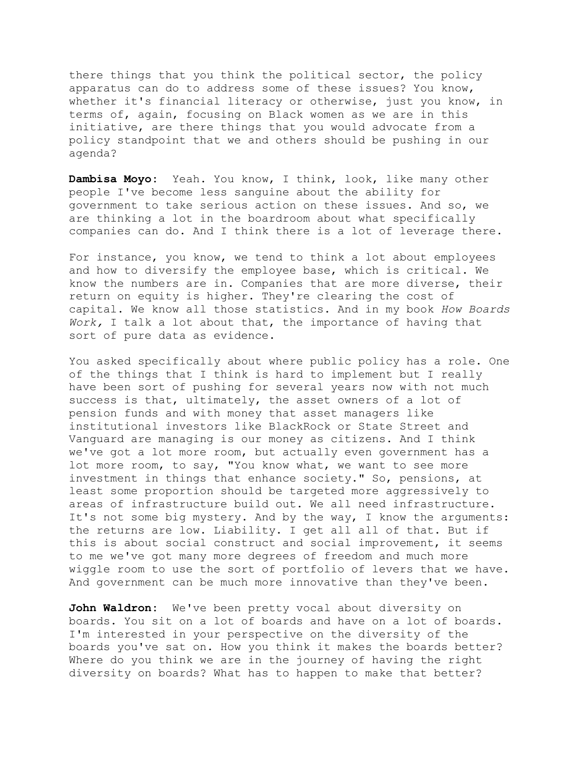there things that you think the political sector, the policy apparatus can do to address some of these issues? You know, whether it's financial literacy or otherwise, just you know, in terms of, again, focusing on Black women as we are in this initiative, are there things that you would advocate from a policy standpoint that we and others should be pushing in our agenda?

**Dambisa Moyo:** Yeah. You know, I think, look, like many other people I've become less sanguine about the ability for government to take serious action on these issues. And so, we are thinking a lot in the boardroom about what specifically companies can do. And I think there is a lot of leverage there.

For instance, you know, we tend to think a lot about employees and how to diversify the employee base, which is critical. We know the numbers are in. Companies that are more diverse, their return on equity is higher. They're clearing the cost of capital. We know all those statistics. And in my book *How Boards Work,* I talk a lot about that, the importance of having that sort of pure data as evidence.

You asked specifically about where public policy has a role. One of the things that I think is hard to implement but I really have been sort of pushing for several years now with not much success is that, ultimately, the asset owners of a lot of pension funds and with money that asset managers like institutional investors like BlackRock or State Street and Vanguard are managing is our money as citizens. And I think we've got a lot more room, but actually even government has a lot more room, to say, "You know what, we want to see more investment in things that enhance society." So, pensions, at least some proportion should be targeted more aggressively to areas of infrastructure build out. We all need infrastructure. It's not some big mystery. And by the way, I know the arguments: the returns are low. Liability. I get all all of that. But if this is about social construct and social improvement, it seems to me we've got many more degrees of freedom and much more wiggle room to use the sort of portfolio of levers that we have. And government can be much more innovative than they've been.

**John Waldron:** We've been pretty vocal about diversity on boards. You sit on a lot of boards and have on a lot of boards. I'm interested in your perspective on the diversity of the boards you've sat on. How you think it makes the boards better? Where do you think we are in the journey of having the right diversity on boards? What has to happen to make that better?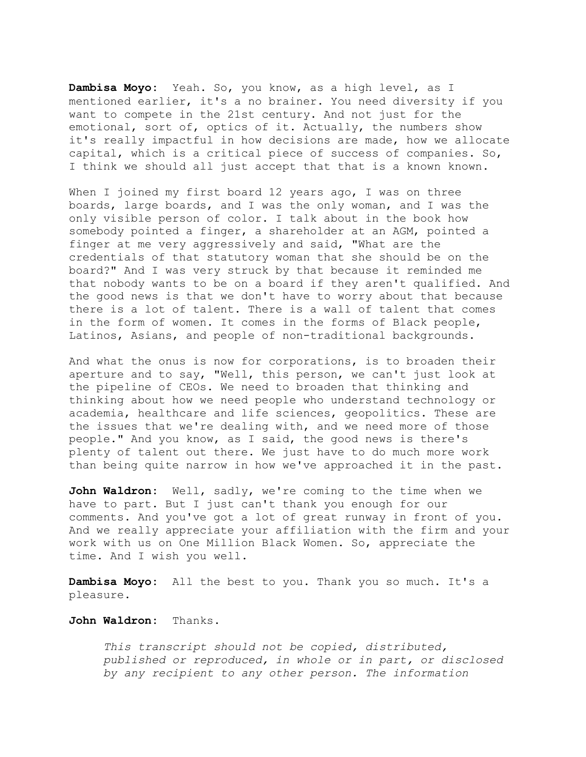**Dambisa Moyo:** Yeah. So, you know, as a high level, as I mentioned earlier, it's a no brainer. You need diversity if you want to compete in the 21st century. And not just for the emotional, sort of, optics of it. Actually, the numbers show it's really impactful in how decisions are made, how we allocate capital, which is a critical piece of success of companies. So, I think we should all just accept that that is a known known.

When I joined my first board 12 years ago, I was on three boards, large boards, and I was the only woman, and I was the only visible person of color. I talk about in the book how somebody pointed a finger, a shareholder at an AGM, pointed a finger at me very aggressively and said, "What are the credentials of that statutory woman that she should be on the board?" And I was very struck by that because it reminded me that nobody wants to be on a board if they aren't qualified. And the good news is that we don't have to worry about that because there is a lot of talent. There is a wall of talent that comes in the form of women. It comes in the forms of Black people, Latinos, Asians, and people of non-traditional backgrounds.

And what the onus is now for corporations, is to broaden their aperture and to say, "Well, this person, we can't just look at the pipeline of CEOs. We need to broaden that thinking and thinking about how we need people who understand technology or academia, healthcare and life sciences, geopolitics. These are the issues that we're dealing with, and we need more of those people." And you know, as I said, the good news is there's plenty of talent out there. We just have to do much more work than being quite narrow in how we've approached it in the past.

**John Waldron:** Well, sadly, we're coming to the time when we have to part. But I just can't thank you enough for our comments. And you've got a lot of great runway in front of you. And we really appreciate your affiliation with the firm and your work with us on One Million Black Women. So, appreciate the time. And I wish you well.

**Dambisa Moyo:** All the best to you. Thank you so much. It's a pleasure.

## **John Waldron:** Thanks.

*This transcript should not be copied, distributed, published or reproduced, in whole or in part, or disclosed by any recipient to any other person. The information*